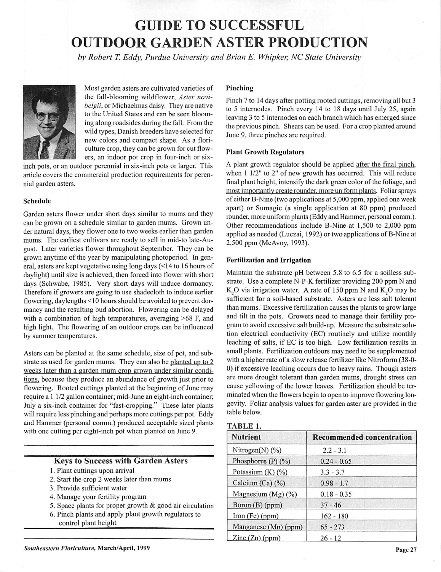## GUIDE TO SUCCESSFUL OUTDOOR GARDEN ASTER PRODUCTION

**by Robert T. Eddy, Purdue University and Brian E. Whipker, NC State University**



Most garden asters are cultivated varieties of the fall-blooming wildflower, **Aster novibelgii,** or Michaelmas daisy. They are native to the United States and can be seen bloom ing along roadsides during the fall. From the wild types, Danish breeders have selected for new colors and compact shape. As a flori culture crop, they can be grown for cut flow ers, an indoor pot crop in four-inch or six-

inch pots, or an outdoor perennial in six-inch pots or larger. This article covers the commercial production requirements for peren nial garden asters.

#### *Schedule*

Garden asters flower under short days similar to mums and they can be grown on a schedule similar to garden mums. Grown un der natural days, they flower one to two weeks earlier than garden mums. The earliest cultivars are ready to sell in mid-to late-Au gust. Later varieties flower throughout September. They can be grown anytime of the year by manipulating photoperiod. In gen eral, asters are kept vegetative using long days (<14 to 16 hours of daylight) until size is achieved, then forced into flower with short days (Schwabe, 1985). Very short days will induce dormancy. Therefore if growers are going to use shadecloth to induce earlier flowering, daylengths < 10 hours should be avoided to prevent dor mancy and the resulting bud abortion. Flowering can be delayed with a combination of high temperatures, averaging >68 F, and high light. The flowering of an outdoor crops can be influenced by summer temperatures.

Asters can be planted at the same schedule, size of pot, and sub strate as used for garden mums. They can also be planted up to 2 weeks later than a garden mum crop grown under similar condi tions, because they produce an abundance of growth just prior to flowering. Rooted cuttings planted at the beginning of June may require a 1 1/2 gallon container; mid-June an eight-inch container; July a six-inch container for "fast-cropping." These later plants will require less pinching and perhaps more cuttings per pot. Eddy and Hammer (personal comm.) produced acceptable sized plants with one cutting per eight-inch pot when planted on June 9.

#### Keys to Success with Garden Asters

- 1. Plant cuttings upon arrival
- 2. Start the crop 2 weeks later than mums
- 3. Provide sufficient water
- 4. Manage your fertility program
- 5. Space plants for proper growth & good air circulation
- 6. Pinch plants and apply plant growth regulators to control plant height

#### *Pinching*

Pinch 7 to 14 days after potting rooted cuttings, removing all but 3 to 5 internodes. Pinch every 14 to 18 days until July 25, again leaving 3 to 5 internodes on each branch which has emerged since the previous pinch. Shears can be used. For a crop planted around June 9, three pinches are required.

#### *Plant Growth Regulators*

A plant growth regulator should be applied after the final pinch, when 1 1/2" to 2" of new growth has occurred. This will reduce final plant height, intensify the dark green color of the foliage, and most importantly create rounder, more uniform plants. Foliar sprays of either B-Nine (two applications at 5,000 ppm, applied one week apart) or Sumagic (a single application at 80 ppm) produced rounder, more uniform plants (Eddy and Hammer, personal comm.). Other recommendations include B-Nine at 1,500 to 2,000 ppm applied as needed (Luczai, 1992) or two applications of B-Nine at 2,500 ppm (McAvoy, 1993).

#### *Fertilization and Irrigation*

Maintain the substrate pH between 5.8 to 6.5 for a soilless sub strate. Use a complete N-P-K fertilizer providing 200 ppm N and K, O via irrigation water. A rate of 150 ppm N and K, O may be sufficient for a soil-based substrate. Asters are less salt tolerant than mums. Excessive fertilization causes the plants to grow large and tilt in the pots. Growers need to manage their fertility pro gram to avoid excessive salt build-up. Measure the substrate solu tion electrical conductivity (EC) routinely and utilize monthly leaching of salts, if EC is too high. Low fertilization results in small plants. Fertilization outdoors may need to be supplemented with a higher rate of a slow release fertilizer like Nitroform (38-0- 0) if excessive leaching occurs due to heavy rains. Though asters are more drought tolerant than garden mums, drought stress can cause yellowing of the lower leaves. Fertilization should be ter minated when the flowers begin to open to improve flowering lon gevity. Foliar analysis values for garden aster are provided in the table below.

| <b>Nutrient</b>                  | <b>Recommended concentration</b> |  |  |  |
|----------------------------------|----------------------------------|--|--|--|
| Nitrogen $(N)$ (%)               | $2.2 - 3.1$                      |  |  |  |
| Phosphorus $(P)$ $(\frac{9}{0})$ | $0.24 - 0.65$                    |  |  |  |
| Potassium $(K)$ $(\%)$           | $3.3 - 3.7$                      |  |  |  |
| Calcium (Ca) $(\% )$             | $0.98 - 1.7$                     |  |  |  |
| Magnesium (Mg) (%)               | $0.18 - 0.35$                    |  |  |  |
| Boron (B) (ppm)                  | $37 - 46$                        |  |  |  |
| Iron $(Fe)$ (ppm)                | $162 - 180$                      |  |  |  |
| Manganese (Mn) (ppm)             | $65 - 273$                       |  |  |  |
| $\text{Zinc}(\text{Zn})$ (ppm)   | $26 - 12$                        |  |  |  |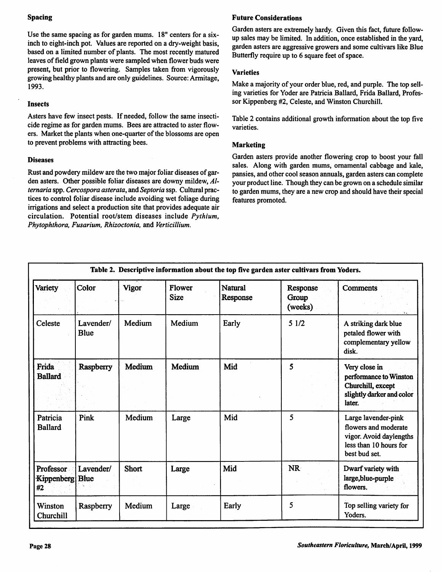#### Spacing

Use the same spacing as for garden mums. 18" centers for a sixinch to eight-inch pot. Values are reported on a dry-weight basis, based on a limited number of plants. The most recently matured leaves of field grown plants were sampled when flower buds were present, but prior to flowering. Samples taken from vigorously growing healthy plants and are only guidelines. Source: Armitage, 1993.

#### Insects

Asters have few insect pests. If needed, follow the same insecti cide regime as for garden mums. Bees are attracted to aster flow ers. Market the plants when one-quarter of the blossoms are open to prevent problems with attracting bees.

#### Diseases

Rust and powdery mildew are the two major foliar diseases of garden asters. Other possible foliar diseases are downy mildew, **Alternaria**spp. **Cercosporaasterata,** and **Septoria**ssp. Cultural prac tices to control foliar disease include avoiding wet foliage during irrigations and select a production site that provides adequate air circulation. Potential root/stem diseases include **Pythium, Phytophthora, Fusarium, Rhizoctonia,** and **Verticillium.**

#### Future Considerations

Garden asters are extremely hardy. Given this fact, future followup sales may be limited. In addition, once established in the yard, garden asters are aggressive growers and some cultivars like Blue Butterfly require up to 6 square feet of space.

#### **Varieties**

Make a majority of your order blue, red, and purple. The top selling varieties for Voder are Patricia Ballard, Frida Ballard, Profes sor Kippenberg #2, Celeste, and Winston Churchill.

Table 2 contains additional growth information about the top five varieties.

#### Marketing

Garden asters provide another flowering crop to boost your fall sales. Along with garden mums, ornamental cabbage and kale, pansies, and other cool season annuals, garden asters can complete your product line. Though they can be grown on a schedule similar to garden mums, they are a new crop and should have their special features promoted.

| Table 2. Descriptive information about the top five garden aster cultivars from Yoders. |                          |              |                              |                            |                              |                                                                                                                   |  |
|-----------------------------------------------------------------------------------------|--------------------------|--------------|------------------------------|----------------------------|------------------------------|-------------------------------------------------------------------------------------------------------------------|--|
| Variety                                                                                 | Color                    | <b>Vigor</b> | <b>Flower</b><br><b>Size</b> | <b>Natural</b><br>Response | Response<br>Group<br>(weeks) | <b>Comments</b>                                                                                                   |  |
| Celeste                                                                                 | Lavender/<br><b>Blue</b> | Medium       | Medium                       | Early                      | 51/2                         | A striking dark blue<br>petaled flower with<br>complementary yellow<br>disk.                                      |  |
| Frida<br><b>Ballard</b>                                                                 | Raspberry                | Medium       | Medium                       | Mid                        | 5                            | Very close in<br>performance to Winston<br>Churchill, except<br>slightly darker and color<br>later.               |  |
| Patricia<br><b>Ballard</b>                                                              | Pink                     | Medium       | Large                        | Mid                        | 5                            | Large lavender-pink<br>flowers and moderate<br>vigor. Avoid daylengths<br>less than 10 hours for<br>best bud set. |  |
| Professor<br>Kippenberg Blue<br>#2                                                      | Lavender/                | <b>Short</b> | Large                        | Mid                        | NR                           | Dwarf variety with<br>large, blue-purple<br>flowers.                                                              |  |
| Winston<br>Churchill                                                                    | Raspberry                | Medium       | Large                        | Early                      | 5                            | Top selling variety for<br>Yoders.                                                                                |  |